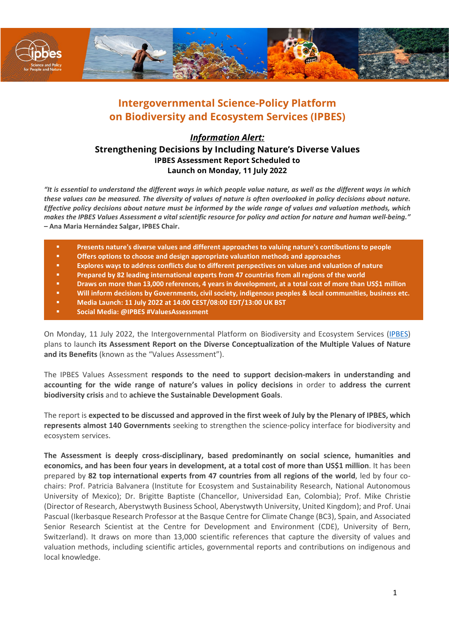

# **Intergovernmental Science-Policy Platform on Biodiversity and Ecosystem Services (IPBES)**

## *Information Alert:*  **Strengthening Decisions by Including Nature's Diverse Values IPBES Assessment Report Scheduled to Launch on Monday, 11 July 2022**

*"It is essential to understand the different ways in which people value nature, as well as the different ways in which these values can be measured. The diversity of values of nature is often overlooked in policy decisions about nature. Effective policy decisions about nature must be informed by the wide range of values and valuation methods, which makes the IPBES Values Assessment a vital scientific resource for policy and action for nature and human well-being."*  **– Ana Maria Hernández Salgar, IPBES Chair.** 

- **Presents nature's diverse values and different approaches to valuing nature's contibutions to people**
- **Offers options to choose and design appropriate valuation methods and approaches**
- **Explores ways to address conflicts due to different perspectives on values and valuation of nature**
- **Prepared by 82 leading international experts from 47 countries from all regions of the world**
- **Draws on more than 13,000 references, 4 years in development, at a total cost of more than US\$1 million**
- **Will inform decisions by Governments, civil society, indigenous peoples & local communities, business etc.**
- **Media Launch: 11 July 2022 at 14:00 CEST/08:00 EDT/13:00 UK BST**
- **Social Media: @IPBES #ValuesAssessment**

On Monday, 11 July 2022, the Intergovernmental Platform on Biodiversity and Ecosystem Services [\(IPBES\)](http://www.ipbes.net/) plans to launch **its Assessment Report on the Diverse Conceptualization of the Multiple Values of Nature and its Benefits** (known as the "Values Assessment").

The IPBES Values Assessment **responds to the need to support decision-makers in understanding and accounting for the wide range of nature's values in policy decisions** in order to **address the current biodiversity crisis** and to **achieve the Sustainable Development Goals**.

The report is **expected to be discussed and approved in the first week of July by the Plenary of IPBES, which represents almost 140 Governments** seeking to strengthen the science-policy interface for biodiversity and ecosystem services.

**The Assessment is deeply cross-disciplinary, based predominantly on social science, humanities and economics, and has been four years in development, at a total cost of more than US\$1 million**. It has been prepared by **82 top international experts from 47 countries from all regions of the world**, led by four cochairs: Prof. Patricia Balvanera (Institute for Ecosystem and Sustainability Research, National Autonomous University of Mexico); Dr. Brigitte Baptiste (Chancellor, Universidad Ean, Colombia); Prof. Mike Christie (Director of Research, Aberystwyth Business School, Aberystwyth University, United Kingdom); and Prof. Unai Pascual (Ikerbasque Research Professor at the Basque Centre for Climate Change (BC3), Spain, and Associated Senior Research Scientist at the Centre for Development and Environment (CDE), University of Bern, Switzerland). It draws on more than 13,000 scientific references that capture the diversity of values and valuation methods, including scientific articles, governmental reports and contributions on indigenous and local knowledge.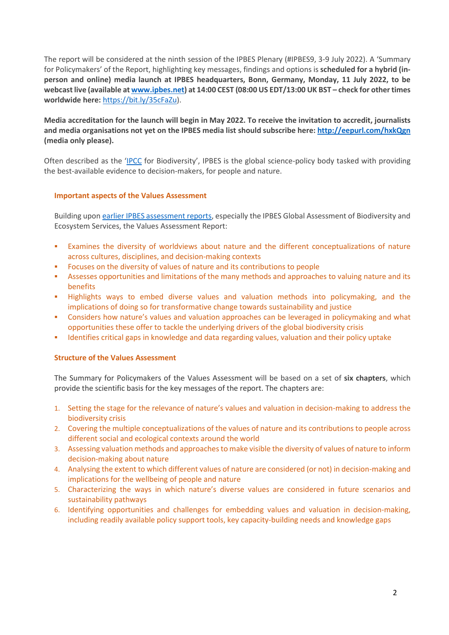The report will be considered at the ninth session of the IPBES Plenary (#IPBES9, 3-9 July 2022). A 'Summary for Policymakers' of the Report, highlighting key messages, findings and options is **scheduled for a hybrid (inperson and online) media launch at IPBES headquarters, Bonn, Germany, Monday, 11 July 2022, to be webcast live (available a[t www.ipbes.net\)](http://www.ipbes.net/) at 14:00 CEST (08:00 US EDT/13:00 UK BST – check for other times worldwide here:** [https://bit.ly/35cFaZu\)](https://bit.ly/35cFaZu).

**Media accreditation for the launch will begin in May 2022. To receive the invitation to accredit, journalists and media organisations not yet on the IPBES media list should subscribe here:<http://eepurl.com/hxkQgn> (media only please).**

Often described as the ['IPCC](http://www.ipcc.ch/) for Biodiversity', IPBES is the global science-policy body tasked with providing the best-available evidence to decision-makers, for people and nature.

### **Important aspects of the Values Assessment**

Building upon [earlier IPBES assessment reports,](https://www.ipbes.net/assessment-reports) especially the IPBES Global Assessment of Biodiversity and Ecosystem Services, the Values Assessment Report:

- Examines the diversity of worldviews about nature and the different conceptualizations of nature across cultures, disciplines, and decision-making contexts
- Focuses on the diversity of values of nature and its contributions to people
- Assesses opportunities and limitations of the many methods and approaches to valuing nature and its benefits
- Highlights ways to embed diverse values and valuation methods into policymaking, and the implications of doing so for transformative change towards sustainability and justice
- Considers how nature's values and valuation approaches can be leveraged in policymaking and what opportunities these offer to tackle the underlying drivers of the global biodiversity crisis
- Identifies critical gaps in knowledge and data regarding values, valuation and their policy uptake

### **Structure of the Values Assessment**

The Summary for Policymakers of the Values Assessment will be based on a set of **six chapters**, which provide the scientific basis for the key messages of the report. The chapters are:

- 1. Setting the stage for the relevance of nature's values and valuation in decision-making to address the biodiversity crisis
- 2. Covering the multiple conceptualizations of the values of nature and its contributions to people across different social and ecological contexts around the world
- 3. Assessing valuation methods and approaches to make visible the diversity of values of nature to inform decision-making about nature
- 4. Analysing the extent to which different values of nature are considered (or not) in decision-making and implications for the wellbeing of people and nature
- 5. Characterizing the ways in which nature's diverse values are considered in future scenarios and sustainability pathways
- 6. Identifying opportunities and challenges for embedding values and valuation in decision-making, including readily available policy support tools, key capacity-building needs and knowledge gaps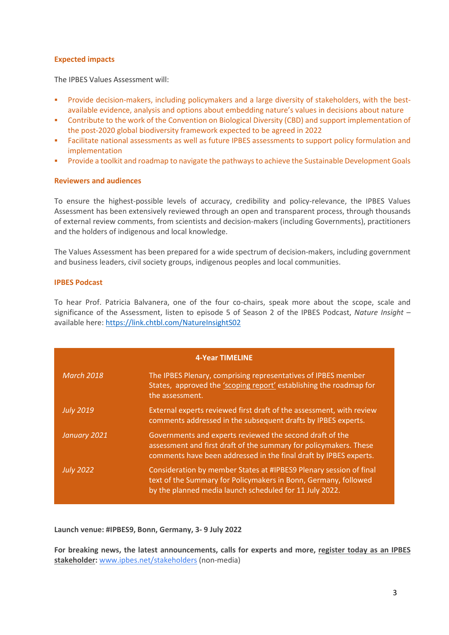## **Expected impacts**

The IPBES Values Assessment will:

- Provide decision-makers, including policymakers and a large diversity of stakeholders, with the bestavailable evidence, analysis and options about embedding nature's values in decisions about nature
- Contribute to the work of the Convention on Biological Diversity (CBD) and support implementation of the post-2020 global biodiversity framework expected to be agreed in 2022
- Facilitate national assessments as well as future IPBES assessments to support policy formulation and implementation
- Provide a toolkit and roadmap to navigate the pathways to achieve the Sustainable Development Goals

## **Reviewers and audiences**

To ensure the highest-possible levels of accuracy, credibility and policy-relevance, the IPBES Values Assessment has been extensively reviewed through an open and transparent process, through thousands of external review comments, from scientists and decision-makers (including Governments), practitioners and the holders of indigenous and local knowledge.

The Values Assessment has been prepared for a wide spectrum of decision-makers, including government and business leaders, civil society groups, indigenous peoples and local communities.

## **IPBES Podcast**

To hear Prof. Patricia Balvanera, one of the four co-chairs, speak more about the scope, scale and significance of the Assessment, listen to episode 5 of Season 2 of the IPBES Podcast, *Nature Insight* – available here: https://link.chtbl.com/NatureInsightS02

| <b>4-Year TIMELINE</b> |                                                                                                                                                                                                    |
|------------------------|----------------------------------------------------------------------------------------------------------------------------------------------------------------------------------------------------|
| <b>March 2018</b>      | The IPBES Plenary, comprising representatives of IPBES member<br>States, approved the 'scoping report' establishing the roadmap for<br>the assessment.                                             |
| <b>July 2019</b>       | External experts reviewed first draft of the assessment, with review<br>comments addressed in the subsequent drafts by IPBES experts.                                                              |
| January 2021           | Governments and experts reviewed the second draft of the<br>assessment and first draft of the summary for policymakers. These<br>comments have been addressed in the final draft by IPBES experts. |
| <b>July 2022</b>       | Consideration by member States at #IPBES9 Plenary session of final<br>text of the Summary for Policymakers in Bonn, Germany, followed<br>by the planned media launch scheduled for 11 July 2022.   |

**Launch venue: #IPBES9, Bonn, Germany, 3- 9 July 2022**

**For breaking news, the latest announcements, calls for experts and more, register today as an IPBES stakeholder:** [www.ipbes.net/stakeholders](http://www.ipbes.net/stakeholders) (non-media)